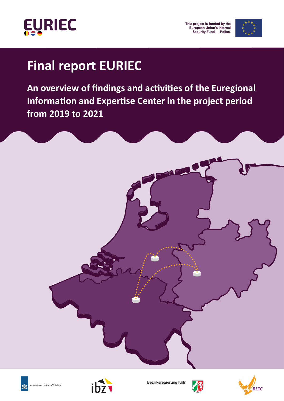

**This project is funded by the European Union's Internal Security Fund — Police.**



## **Final report EURIEC**

An overview of findings and activities of the Euregional **Information and Expertise Center in the project period from 2019 to 2021**







RIEC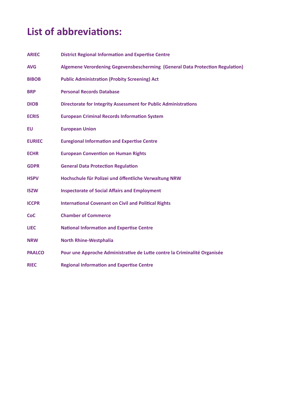## **List of abbreviations:**

| <b>ARIEC</b>  | <b>District Regional Information and Expertise Centre</b>                     |
|---------------|-------------------------------------------------------------------------------|
| <b>AVG</b>    | Algemene Verordening Gegevensbescherming (General Data Protection Regulation) |
| <b>BIBOB</b>  | <b>Public Administration (Probity Screening) Act</b>                          |
| <b>BRP</b>    | <b>Personal Records Database</b>                                              |
| <b>DIOB</b>   | <b>Directorate for Integrity Assessment for Public Administrations</b>        |
| <b>ECRIS</b>  | <b>European Criminal Records Information System</b>                           |
| <b>EU</b>     | <b>European Union</b>                                                         |
| <b>EURIEC</b> | <b>Euregional Information and Expertise Centre</b>                            |
| <b>ECHR</b>   | <b>European Convention on Human Rights</b>                                    |
| <b>GDPR</b>   | <b>General Data Protection Regulation</b>                                     |
| <b>HSPV</b>   | Hochschule für Polizei und öffentliche Verwaltung NRW                         |
| <b>ISZW</b>   | <b>Inspectorate of Social Affairs and Employment</b>                          |
| <b>ICCPR</b>  | <b>International Covenant on Civil and Political Rights</b>                   |
| <b>CoC</b>    | <b>Chamber of Commerce</b>                                                    |
| <b>LIEC</b>   | <b>National Information and Expertise Centre</b>                              |
| <b>NRW</b>    | <b>North Rhine-Westphalia</b>                                                 |
| <b>PAALCO</b> | Pour une Approche Administrative de Lutte contre la Criminalité Organisée     |
| <b>RIEC</b>   | <b>Regional Information and Expertise Centre</b>                              |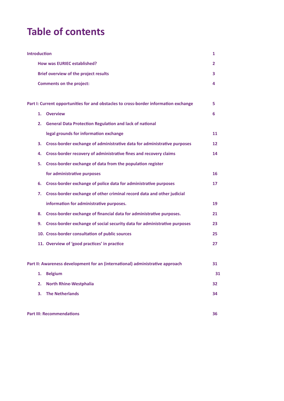## **Table of contents**

| <b>Introduction</b>                          |                                                                                      |    |  |
|----------------------------------------------|--------------------------------------------------------------------------------------|----|--|
| <b>How was EURIEC established?</b>           |                                                                                      |    |  |
| <b>Brief overview of the project results</b> |                                                                                      |    |  |
|                                              | <b>Comments on the project:</b>                                                      | 4  |  |
|                                              |                                                                                      |    |  |
|                                              | Part I: Current opportunities for and obstacles to cross-border information exchange | 5  |  |
| 1.                                           | <b>Overview</b>                                                                      | 6  |  |
| 2.                                           | <b>General Data Protection Regulation and lack of national</b>                       |    |  |
|                                              | legal grounds for information exchange                                               | 11 |  |
| З.                                           | Cross-border exchange of administrative data for administrative purposes             | 12 |  |
| 4.                                           | Cross-border recovery of administrative fines and recovery claims                    | 14 |  |
| 5.                                           | Cross-border exchange of data from the population register                           |    |  |
|                                              | for administrative purposes                                                          | 16 |  |
| 6.                                           | Cross-border exchange of police data for administrative purposes                     | 17 |  |
| 7.                                           | Cross-border exchange of other criminal record data and other judicial               |    |  |
|                                              | information for administrative purposes.                                             | 19 |  |
| 8. .                                         | Cross-border exchange of financial data for administrative purposes.                 | 21 |  |
| 9.                                           | Cross-border exchange of social security data for administrative purposes            | 23 |  |
|                                              | 10. Cross-border consultation of public sources                                      | 25 |  |
|                                              | 11. Overview of 'good practices' in practice                                         | 27 |  |
|                                              |                                                                                      |    |  |
|                                              | Part II: Awareness development for an (international) administrative approach        | 31 |  |
| 1.                                           | <b>Belgium</b>                                                                       | 31 |  |
| 2.                                           | <b>North Rhine-Westphalia</b>                                                        | 32 |  |
| 3.                                           | <b>The Netherlands</b>                                                               | 34 |  |
|                                              |                                                                                      |    |  |
|                                              | <b>Part III: Recommendations</b>                                                     | 36 |  |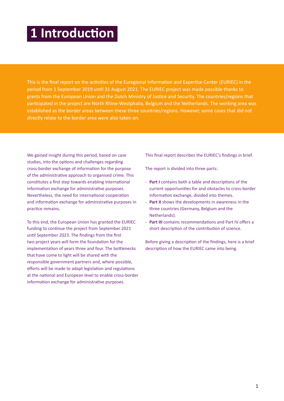## **1 Introduction**

This is the final report on the activities of the Euregional Information and Expertise Center (EURIEC) in the period from 1 September 2019 until 31 August 2021. The EURIEC project was made possible thanks to grants from the European Union and the Dutch Ministry of Justice and Security. The countries/regions that participated in the project are North Rhine-Westphalia, Belgium and the Netherlands. The working area was established as the border areas between these three countries/regions. However, some cases that did not directly relate to the border area were also taken on.

We gained insight during this period, based on case studies, into the options and challenges regarding cross-border exchange of information for the purpose of the administrative approach to organised crime. This constitutes a first step towards enabling international information exchange for administrative purposes. Nevertheless, the need for international cooperation and information exchange for administrative purposes in practice remains.

To this end, the European Union has granted the EURIEC funding to continue the project from September 2021 until September 2023. The findings from the first two project years will form the foundation for the implementation of years three and four. The bottlenecks that have come to light will be shared with the responsible government partners and, where possible, efforts will be made to adapt legislation and regulations at the national and European level to enable cross-border information exchange for administrative purposes.

This final report describes the EURIEC's findings in brief.

The report is divided into three parts:

- **Part I** contains both a table and descriptions of the current opportunities for and obstacles to cross-border information exchange, divided into themes.
- **Part II** shows the developments in awareness in the three countries (Germany, Belgium and the Netherlands).
- **Part III** contains recommendations and Part IV offers a short description of the contribution of science.

Before giving a description of the findings, here is a brief description of how the EURIEC came into being.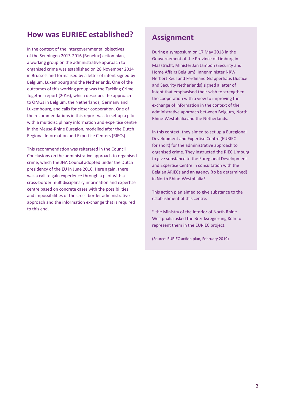### **How was EURIEC established?**

In the context of the intergovernmental objectives of the Senningen 2013-2016 (Benelux) action plan, a working group on the administrative approach to organised crime was established on 28 November 2014 in Brussels and formalised by a letter of intent signed by Belgium, Luxembourg and the Netherlands. One of the outcomes of this working group was the Tackling Crime Together report (2016), which describes the approach to OMGs in Belgium, the Netherlands, Germany and Luxembourg, and calls for closer cooperation. One of the recommendations in this report was to set up a pilot with a multidisciplinary information and expertise centre in the Meuse-Rhine Euregion, modelled after the Dutch Regional Information and Expertise Centers (RIECs).

This recommendation was reiterated in the Council Conclusions on the administrative approach to organised crime, which the JHA Council adopted under the Dutch presidency of the EU in June 2016. Here again, there was a call to gain experience through a pilot with a cross-border multidisciplinary information and expertise centre based on concrete cases with the possibilities and impossibilities of the cross-border administrative approach and the information exchange that is required to this end.

## **Assignment**

During a symposium on 17 May 2018 in the Gouvernement of the Province of Limburg in Maastricht, Minister Jan Jambon (Security and Home Affairs Belgium), Innenminister NRW Herbert Reul and Ferdinand Grapperhaus (Justice and Security Netherlands) signed a letter of intent that emphasised their wish to strengthen the cooperation with a view to improving the exchange of information in the context of the administrative approach between Belgium, North Rhine-Westphalia and the Netherlands.

In this context, they aimed to set up a Euregional Development and Expertise Centre (EURIEC for short) for the administrative approach to organised crime. They instructed the RIEC Limburg to give substance to the Euregional Development and Expertise Centre in consultation with the Belgian ARIECs and an agency (to be determined) in North Rhine-Westphalia\*

This action plan aimed to give substance to the establishment of this centre.

\* the Ministry of the Interior of North Rhine Westphalia asked the Bezirksregierung Köln to represent them in the EURIEC project.

(Source: EURIEC action plan, February 2019)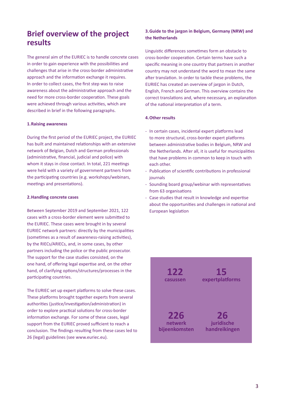## **Brief overview of the project results**

The general aim of the EURIEC is to handle concrete cases in order to gain experience with the possibilities and challenges that arise in the cross-border administrative approach and the information exchange it requires. In order to collect cases, the first step was to raise awareness about the administrative approach and the need for more cross-border cooperation. These goals were achieved through various activities, which are described in brief in the following paragraphs.

#### **1.Raising awareness**

During the first period of the EURIEC project, the EURIEC has built and maintained relationships with an extensive network of Belgian, Dutch and German professionals (administrative, financial, judicial and police) with whom it stays in close contact. In total, 221 meetings were held with a variety of government partners from the participating countries (e.g. workshops/webinars, meetings and presentations).

#### **2.Handling concrete cases**

Between September 2019 and September 2021, 122 cases with a cross-border element were submitted to the EURIEC. These cases were brought in by several EURIEC network partners: directly by the municipalities (sometimes as a result of awareness-raising activities), by the RIECs/ARIECs, and, in some cases, by other partners including the police or the public prosecutor. The support for the case studies consisted, on the one hand, of offering legal expertise and, on the other hand, of clarifying options/structures/processes in the participating countries.

The EURIEC set up expert platforms to solve these cases. These platforms brought together experts from several authorities (justice/investigation/administration) in order to explore practical solutions for cross-border information exchange. For some of these cases, legal support from the EURIEC proved sufficient to reach a conclusion. The findings resulting from these cases led to 26 (legal) guidelines (see www.euriec.eu).

#### **3.Guide to the jargon in Belgium, Germany (NRW) and the Netherlands**

Linguistic differences sometimes form an obstacle to cross-border cooperation. Certain terms have such a specific meaning in one country that partners in another country may not understand the word to mean the same after translation. In order to tackle these problems, the EURIEC has created an overview of jargon in Dutch, English, French and German. This overview contains the correct translations and, where necessary, an explanation of the national interpretation of a term.

#### **4.Other results**

- In certain cases, incidental expert platforms lead to more structural, cross-border expert platforms between administrative bodies in Belgium, NRW and the Netherlands. After all, it is useful for municipalities that have problems in common to keep in touch with each other.
- Publication of scientific contributions in professional journals
- Sounding board group/webinar with representatives from 63 organisations
- Case studies that result in knowledge and expertise about the opportunities and challenges in national and European legislation

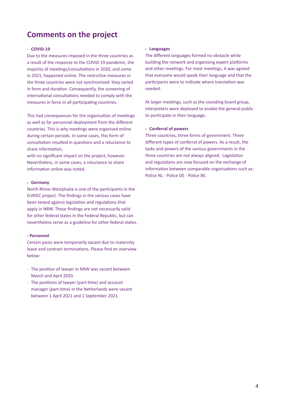## **Comments on the project**

#### - **COVID-19**

Due to the measures imposed in the three countries as a result of the response to the COVID-19 pandemic, the majority of meetings/consultations in 2020, and some in 2021, happened online. The restrictive measures in the three countries were not synchronised: they varied in form and duration. Consequently, the convening of international consultations needed to comply with the measures in force in all participating countries.

This had consequences for the organisation of meetings as well as for personnel deployment from the different countries. This is why meetings were organised online during certain periods. In some cases, this form of consultation resulted in questions and a reluctance to share information,

with no significant impact on the project, however. Nevertheless, in some cases, a reluctance to share information online was noted.

#### **- Germany**

North Rhine-Westphalia is one of the participants in the EURIEC project. The findings in the various cases have been tested against legislation and regulations that apply in NRW. These findings are not necessarily valid for other federal states in the Federal Republic, but can nevertheless serve as a guideline for other federal states.

#### **- Personnel**

Certain posts were temporarily vacant due to maternity leave and contract terminations. Please find an overview below:

- The position of lawyer in NRW was vacant between March and April 2020.
- The positions of lawyer (part-time) and account manager (part-time) in the Netherlands were vacant between 1 April 2021 and 1 September 2021.

#### **- Languages**

The different languages formed no obstacle while building the network and organising expert platforms and other meetings. For most meetings, it was agreed that everyone would speak their language and that the participants were to indicate where translation was needed.

At larger meetings, such as the sounding board group, interpreters were deployed to enable the general public to participate in their language.

#### **- Conferral of powers**

Three countries, three forms of government. Three different types of conferral of powers. As a result, the tasks and powers of the various governments in the three countries are not always aligned. Legislation and regulations are now focused on the exchange of information between comparable organisations such as: Police NL - Police DE - Police BE.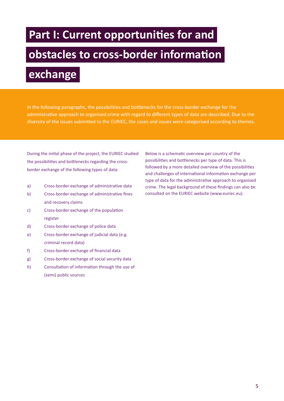## **Part I: Current opportunities for and**

## **obstacles to cross-border information**

## **exchange**

In the following paragraphs, the possibilities and bottlenecks for the cross-border exchange for the administrative approach to organised crime with regard to different types of data are described. Due to the diversity of the issues submitted to the EURIEC, the cases and issues were categorised according to themes.

During the initial phase of the project, the EURIEC studied the possibilities and bottlenecks regarding the crossborder exchange of the following types of data:

- a) Cross-border exchange of administrative data
- b) Cross-border exchange of administrative fines and recovery claims
- c) Cross-border exchange of the population register
- d) Cross-border exchange of police data
- e) Cross-border exchange of judicial data (e.g. criminal record data)
- f) Cross-border exchange of financial data
- g) Cross-border exchange of social security data
- h) Consultation of information through the use of (semi) public sources

Below is a schematic overview per country of the possibilities and bottlenecks per type of data. This is followed by a more detailed overview of the possibilities and challenges of international information exchange per type of data for the administrative approach to organised crime. The legal background of these findings can also be consulted on the EURIEC website (www.euriec.eu).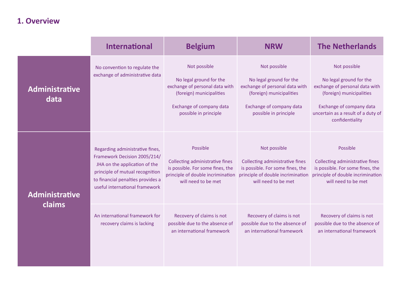## **1. Overview**

|                        | <b>International</b>                                                                                                                                                                                       | <b>Belgium</b>                                                                                                                                             | <b>NRW</b>                                                                                                                                                 | <b>The Netherlands</b>                                                                                                                                                                     |
|------------------------|------------------------------------------------------------------------------------------------------------------------------------------------------------------------------------------------------------|------------------------------------------------------------------------------------------------------------------------------------------------------------|------------------------------------------------------------------------------------------------------------------------------------------------------------|--------------------------------------------------------------------------------------------------------------------------------------------------------------------------------------------|
| Administrative<br>data | No convention to regulate the<br>exchange of administrative data                                                                                                                                           | Not possible<br>No legal ground for the<br>exchange of personal data with<br>(foreign) municipalities<br>Exchange of company data<br>possible in principle | Not possible<br>No legal ground for the<br>exchange of personal data with<br>(foreign) municipalities<br>Exchange of company data<br>possible in principle | Not possible<br>No legal ground for the<br>exchange of personal data with<br>(foreign) municipalities<br>Exchange of company data<br>uncertain as a result of a duty of<br>confidentiality |
| Administrative         | Regarding administrative fines,<br>Framework Decision 2005/214/<br>JHA on the application of the<br>principle of mutual recognition<br>to financial penalties provides a<br>useful international framework | Possible<br>Collecting administrative fines<br>is possible. For some fines, the<br>principle of double incrimination<br>will need to be met                | Not possible<br>Collecting administrative fines<br>is possible. For some fines, the<br>principle of double incrimination<br>will need to be met            | Possible<br>Collecting administrative fines<br>is possible. For some fines, the<br>principle of double incrimination<br>will need to be met                                                |
| claims                 | An international framework for<br>recovery claims is lacking                                                                                                                                               | Recovery of claims is not<br>possible due to the absence of<br>an international framework                                                                  | Recovery of claims is not<br>possible due to the absence of<br>an international framework                                                                  | Recovery of claims is not<br>possible due to the absence of<br>an international framework                                                                                                  |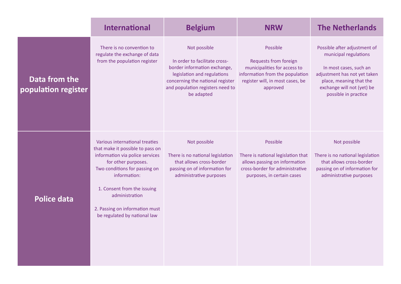|                                      | <b>International</b>                                                                                                                                                                                                                                                                             | <b>Belgium</b>                                                                                                                                                                                     | <b>NRW</b>                                                                                                                                           | <b>The Netherlands</b>                                                                                                                                                                           |
|--------------------------------------|--------------------------------------------------------------------------------------------------------------------------------------------------------------------------------------------------------------------------------------------------------------------------------------------------|----------------------------------------------------------------------------------------------------------------------------------------------------------------------------------------------------|------------------------------------------------------------------------------------------------------------------------------------------------------|--------------------------------------------------------------------------------------------------------------------------------------------------------------------------------------------------|
| Data from the<br>population register | There is no convention to<br>regulate the exchange of data<br>from the population register                                                                                                                                                                                                       | Not possible<br>In order to facilitate cross-<br>border information exchange,<br>legislation and regulations<br>concerning the national register<br>and population registers need to<br>be adapted | Possible<br>Requests from foreign<br>municipalities for access to<br>information from the population<br>register will, in most cases, be<br>approved | Possible after adjustment of<br>municipal regulations<br>In most cases, such an<br>adjustment has not yet taken<br>place, meaning that the<br>exchange will not (yet) be<br>possible in practice |
| <b>Police data</b>                   | Various international treaties<br>that make it possible to pass on<br>information via police services<br>for other purposes.<br>Two conditions for passing on<br>information:<br>1. Consent from the issuing<br>administration<br>2. Passing on information must<br>be regulated by national law | Not possible<br>There is no national legislation<br>that allows cross-border<br>passing on of information for<br>administrative purposes                                                           | Possible<br>There is national legislation that<br>allows passing on information<br>cross-border for administrative<br>purposes, in certain cases     | Not possible<br>There is no national legislation<br>that allows cross-border<br>passing on of information for<br>administrative purposes                                                         |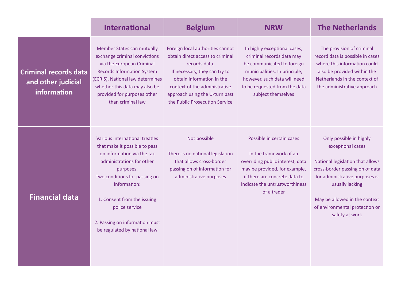|                                                                   | <b>International</b>                                                                                                                                                                                                                                                                                        | <b>Belgium</b>                                                                                                                                                                                                                                           | <b>NRW</b>                                                                                                                                                                                                      | <b>The Netherlands</b>                                                                                                                                                                                                                                        |
|-------------------------------------------------------------------|-------------------------------------------------------------------------------------------------------------------------------------------------------------------------------------------------------------------------------------------------------------------------------------------------------------|----------------------------------------------------------------------------------------------------------------------------------------------------------------------------------------------------------------------------------------------------------|-----------------------------------------------------------------------------------------------------------------------------------------------------------------------------------------------------------------|---------------------------------------------------------------------------------------------------------------------------------------------------------------------------------------------------------------------------------------------------------------|
| <b>Criminal records data</b><br>and other judicial<br>information | Member States can mutually<br>exchange criminal convictions<br>via the European Criminal<br><b>Records Information System</b><br>(ECRIS). National law determines<br>whether this data may also be<br>provided for purposes other<br>than criminal law                                                      | Foreign local authorities cannot<br>obtain direct access to criminal<br>records data.<br>If necessary, they can try to<br>obtain information in the<br>context of the administrative<br>approach using the U-turn past<br>the Public Prosecution Service | In highly exceptional cases,<br>criminal records data may<br>be communicated to foreign<br>municipalities. In principle,<br>however, such data will need<br>to be requested from the data<br>subject themselves | The provision of criminal<br>record data is possible in cases<br>where this information could<br>also be provided within the<br>Netherlands in the context of<br>the administrative approach                                                                  |
| <b>Financial data</b>                                             | Various international treaties<br>that make it possible to pass<br>on information via the tax<br>administrations for other<br>purposes.<br>Two conditions for passing on<br>information:<br>1. Consent from the issuing<br>police service<br>2. Passing on information must<br>be regulated by national law | Not possible<br>There is no national legislation<br>that allows cross-border<br>passing on of information for<br>administrative purposes                                                                                                                 | Possible in certain cases<br>In the framework of an<br>overriding public interest, data<br>may be provided, for example,<br>if there are concrete data to<br>indicate the untrustworthiness<br>of a trader      | Only possible in highly<br>exceptional cases<br>National legislation that allows<br>cross-border passing on of data<br>for administrative purposes is<br>usually lacking<br>May be allowed in the context<br>of environmental protection or<br>safety at work |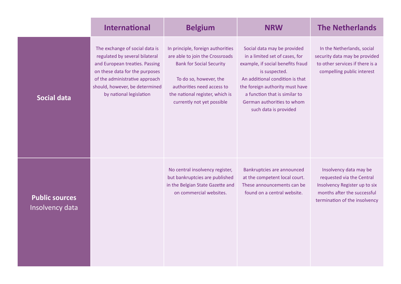|                                          | <b>International</b>                                                                                                                                                                                                                | <b>Belgium</b>                                                                                                                                                                                                                   | <b>NRW</b>                                                                                                                                                                                                                                                                        | <b>The Netherlands</b>                                                                                                                               |
|------------------------------------------|-------------------------------------------------------------------------------------------------------------------------------------------------------------------------------------------------------------------------------------|----------------------------------------------------------------------------------------------------------------------------------------------------------------------------------------------------------------------------------|-----------------------------------------------------------------------------------------------------------------------------------------------------------------------------------------------------------------------------------------------------------------------------------|------------------------------------------------------------------------------------------------------------------------------------------------------|
| <b>Social data</b>                       | The exchange of social data is<br>regulated by several bilateral<br>and European treaties. Passing<br>on these data for the purposes<br>of the administrative approach<br>should, however, be determined<br>by national legislation | In principle, foreign authorities<br>are able to join the Crossroads<br><b>Bank for Social Security</b><br>To do so, however, the<br>authorities need access to<br>the national register, which is<br>currently not yet possible | Social data may be provided<br>in a limited set of cases, for<br>example, if social benefits fraud<br>is suspected.<br>An additional condition is that<br>the foreign authority must have<br>a function that is similar to<br>German authorities to whom<br>such data is provided | In the Netherlands, social<br>security data may be provided<br>to other services if there is a<br>compelling public interest                         |
| <b>Public sources</b><br>Insolvency data |                                                                                                                                                                                                                                     | No central insolvency register,<br>but bankruptcies are published<br>in the Belgian State Gazette and<br>on commercial websites.                                                                                                 | Bankruptcies are announced<br>at the competent local court.<br>These announcements can be<br>found on a central website.                                                                                                                                                          | Insolvency data may be<br>requested via the Central<br>Insolvency Register up to six<br>months after the successful<br>termination of the insolvency |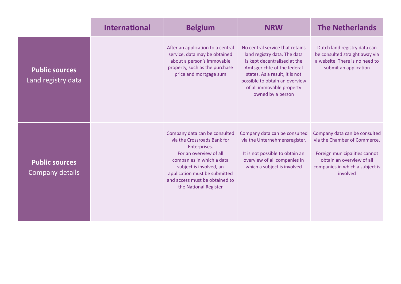|                                             | <b>International</b> | <b>Belgium</b>                                                                                                                                                                                                                                             | <b>NRW</b>                                                                                                                                                                                                                                           | <b>The Netherlands</b>                                                                                                                                                     |  |  |
|---------------------------------------------|----------------------|------------------------------------------------------------------------------------------------------------------------------------------------------------------------------------------------------------------------------------------------------------|------------------------------------------------------------------------------------------------------------------------------------------------------------------------------------------------------------------------------------------------------|----------------------------------------------------------------------------------------------------------------------------------------------------------------------------|--|--|
| <b>Public sources</b><br>Land registry data |                      | After an application to a central<br>service, data may be obtained<br>about a person's immovable<br>property, such as the purchase<br>price and mortgage sum                                                                                               | No central service that retains<br>land registry data. The data<br>is kept decentralised at the<br>Amtsgerichte of the federal<br>states. As a result, it is not<br>possible to obtain an overview<br>of all immovable property<br>owned by a person | Dutch land registry data can<br>be consulted straight away via<br>a website. There is no need to<br>submit an application                                                  |  |  |
| <b>Public sources</b><br>Company details    |                      | Company data can be consulted<br>via the Crossroads Bank for<br>Enterprises.<br>For an overview of all<br>companies in which a data<br>subject is involved, an<br>application must be submitted<br>and access must be obtained to<br>the National Register | Company data can be consulted<br>via the Unternehmensregister.<br>It is not possible to obtain an<br>overview of all companies in<br>which a subject is involved                                                                                     | Company data can be consulted<br>via the Chamber of Commerce.<br>Foreign municipalities cannot<br>obtain an overview of all<br>companies in which a subject is<br>involved |  |  |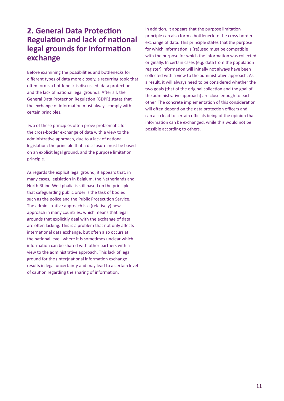## **2. General Data Protection Regulation and lack of national legal grounds for information exchange**

Before examining the possibilities and bottlenecks for different types of data more closely, a recurring topic that often forms a bottleneck is discussed: data protection and the lack of national legal grounds. After all, the General Data Protection Regulation (GDPR) states that the exchange of information must always comply with certain principles.

Two of these principles often prove problematic for the cross-border exchange of data with a view to the administrative approach, due to a lack of national legislation: the principle that a disclosure must be based on an explicit legal ground, and the purpose limitation principle.

As regards the explicit legal ground, it appears that, in many cases, legislation in Belgium, the Netherlands and North Rhine-Westphalia is still based on the principle that safeguarding public order is the task of bodies such as the police and the Public Prosecution Service. The administrative approach is a (relatively) new approach in many countries, which means that legal grounds that explicitly deal with the exchange of data are often lacking. This is a problem that not only affects international data exchange, but often also occurs at the national level, where it is sometimes unclear which information can be shared with other partners with a view to the administrative approach. This lack of legal ground for the (inter)national information exchange results in legal uncertainty and may lead to a certain level of caution regarding the sharing of information.

In addition, it appears that the purpose limitation principle can also form a bottleneck to the cross-border exchange of data. This principle states that the purpose for which information is (re)used must be compatible with the purpose for which the information was collected originally. In certain cases (e.g. data from the population register) information will initially not always have been collected with a view to the administrative approach. As a result, it will always need to be considered whether the two goals (that of the original collection and the goal of the administrative approach) are close enough to each other. The concrete implementation of this consideration will often depend on the data protection officers and can also lead to certain officials being of the opinion that information can be exchanged, while this would not be possible according to others.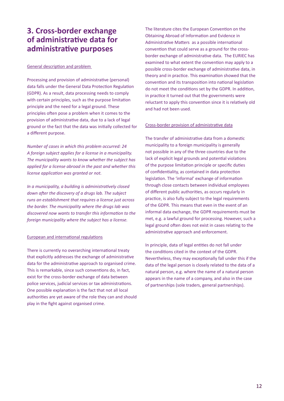## **3. Cross-border exchange of administrative data for administrative purposes**

#### General description and problem

Processing and provision of administrative (personal) data falls under the General Data Protection Regulation (GDPR). As a result, data processing needs to comply with certain principles, such as the purpose limitation principle and the need for a legal ground. These principles often pose a problem when it comes to the provision of administrative data, due to a lack of legal ground or the fact that the data was initially collected for a different purpose.

*Number of cases in which this problem occurred: 24 A foreign subject applies for a license in a municipality. The municipality wants to know whether the subject has applied for a license abroad in the past and whether this license application was granted or not.* 

*In a municipality, a building is administratively closed down after the discovery of a drugs lab. The subject runs an establishment that requires a license just across the border. The municipality where the drugs lab was discovered now wants to transfer this information to the foreign municipality where the subject has a license.* 

#### European and international regulations

There is currently no overarching international treaty that explicitly addresses the exchange of administrative data for the administrative approach to organised crime. This is remarkable, since such conventions do, in fact, exist for the cross-border exchange of data between police services, judicial services or tax administrations. One possible explanation is the fact that not all local authorities are yet aware of the role they can and should play in the fight against organised crime.

The literature cites the European Convention on the Obtaining Abroad of Information and Evidence in Administrative Matters as a possible international convention that could serve as a ground for the crossborder exchange of administrative data. The EURIEC has examined to what extent the convention may apply to a possible cross-border exchange of administrative data, in theory and in practice. This examination showed that the convention and its transposition into national legislation do not meet the conditions set by the GDPR. In addition, in practice it turned out that the governments were reluctant to apply this convention since it is relatively old and had not been used.

#### Cross-border provision of administrative data

The transfer of administrative data from a domestic municipality to a foreign municipality is generally not possible in any of the three countries due to the lack of explicit legal grounds and potential violations of the purpose limitation principle or specific duties of confidentiality, as contained in data protection legislation. The 'informal' exchange of information through close contacts between individual employees of different public authorities, as occurs regularly in practice, is also fully subject to the legal requirements of the GDPR. This means that even in the event of an informal data exchange, the GDPR requirements must be met, e.g. a lawful ground for processing. However, such a legal ground often does not exist in cases relating to the administrative approach and enforcement.

In principle, data of legal entities do not fall under the conditions cited in the context of the GDPR. Nevertheless, they may exceptionally fall under this if the data of the legal person is closely related to the data of a natural person, e.g. where the name of a natural person appears in the name of a company, and also in the case of partnerships (sole traders, general partnerships).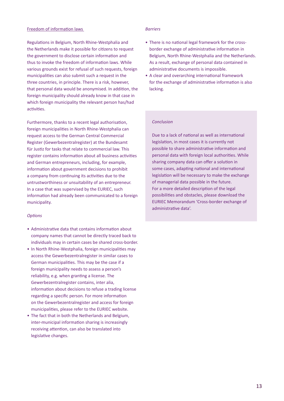#### Freedom of information laws

Regulations in Belgium, North Rhine-Westphalia and the Netherlands make it possible for citizens to request the government to disclose certain information and thus to invoke the freedom of information laws. While various grounds exist for refusal of such requests, foreign municipalities can also submit such a request in the three countries, in principle. There is a risk, however, that personal data would be anonymised. In addition, the foreign municipality should already know in that case in which foreign municipality the relevant person has/had activities.

Furthermore, thanks to a recent legal authorisation, foreign municipalities in North Rhine-Westphalia can request access to the German Central Commercial Register (Gewerbezentralregister) at the Bundesamt für Justiz for tasks that relate to commercial law. This register contains information about all business activities and German entrepreneurs, including, for example, information about government decisions to prohibit a company from continuing its activities due to the untrustworthiness or unsuitability of an entrepreneur. In a case that was supervised by the EURIEC, such information had already been communicated to a foreign municipality.

#### *Options*

- Administrative data that contains information about company names that cannot be directly traced back to individuals may in certain cases be shared cross-border.
- In North Rhine-Westphalia, foreign municipalities may access the Gewerbezentralregister in similar cases to German municipalities. This may be the case if a foreign municipality needs to assess a person's reliability, e.g. when granting a license. The Gewerbezentralregister contains, inter alia, information about decisions to refuse a trading license regarding a specific person. For more information on the Gewerbezentralregister and access for foreign municipalities, please refer to the EURIEC website.
- The fact that in both the Netherlands and Belgium, inter-municipal information sharing is increasingly receiving attention, can also be translated into legislative changes.

#### *Barriers*

- There is no national legal framework for the crossborder exchange of administrative information in Belgium, North Rhine-Westphalia and the Netherlands. As a result, exchange of personal data contained in administrative documents is impossible.
- A clear and overarching international framework for the exchange of administrative information is also lacking.

#### *Conclusion*

Due to a lack of national as well as international legislation, in most cases it is currently not possible to share administrative information and personal data with foreign local authorities. While sharing company data can offer a solution in some cases, adapting national and international legislation will be necessary to make the exchange of managerial data possible in the future. For a more detailed description of the legal possibilities and obstacles, please download the EURIEC Memorandum 'Cross-border exchange of administrative data'.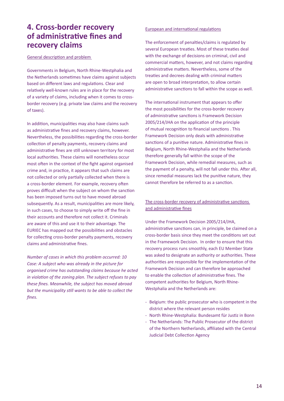## **4. Cross-border recovery of administrative fines and recovery claims**

General description and problem

Governments in Belgium, North Rhine-Westphalia and the Netherlands sometimes have claims against subjects based on different laws and regulations. Clear and relatively well-known rules are in place for the recovery of a variety of claims, including when it comes to crossborder recovery (e.g. private law claims and the recovery of taxes).

In addition, municipalities may also have claims such as administrative fines and recovery claims, however. Nevertheless, the possibilities regarding the cross-border collection of penalty payments, recovery claims and administrative fines are still unknown territory for most local authorities. These claims will nonetheless occur most often in the context of the fight against organised crime and, in practice, it appears that such claims are not collected or only partially collected when there is a cross-border element. For example, recovery often proves difficult when the subject on whom the sanction has been imposed turns out to have moved abroad subsequently. As a result, municipalities are more likely, in such cases, to choose to simply write off the fine in their accounts and therefore not collect it. Criminals are aware of this and use it to their advantage. The EURIEC has mapped out the possibilities and obstacles for collecting cross-border penalty payments, recovery claims and administrative fines.

*Number of cases in which this problem occurred: 10 Case: A subject who was already in the picture for organised crime has outstanding claims because he acted in violation of the zoning plan. The subject refuses to pay these fines. Meanwhile, the subject has moved abroad but the municipality still wants to be able to collect the fines.* 

#### European and international regulations

The enforcement of penalties/claims is regulated by several European treaties. Most of these treaties deal with the exchange of decisions on criminal, civil and commercial matters, however, and not claims regarding administrative matters. Nevertheless, some of the treaties and decrees dealing with criminal matters are open to broad interpretation, to allow certain administrative sanctions to fall within the scope as well.

The international instrument that appears to offer the most possibilities for the cross-border recovery of administrative sanctions is Framework Decision 2005/214/JHA on the application of the principle of mutual recognition to financial sanctions . This Framework Decision only deals with administrative sanctions of a punitive nature. Administrative fines in Belgium, North Rhine-Westphalia and the Netherlands therefore generally fall within the scope of the Framework Decision, while remedial measures, such as the payment of a penalty, will not fall under this. After all, since remedial measures lack the punitive nature, they cannot therefore be referred to as a sanction.

### The cross-border recovery of administrative sanctions and administrative fines

Under the Framework Decision 2005/214/JHA, administrative sanctions can, in principle, be claimed on a cross-border basis since they meet the conditions set out in the Framework Decision. In order to ensure that this recovery process runs smoothly, each EU Member State was asked to designate an authority or authorities. These authorities are responsible for the implementation of the Framework Decision and can therefore be approached to enable the collection of administrative fines. The competent authorities for Belgium, North Rhine-Westphalia and the Netherlands are:

- Belgium: the public prosecutor who is competent in the district where the relevant person resides
- North Rhine-Westphalia: Bundesamt für Justiz in Bonn
- The Netherlands: The Public Prosecutor of the district of the Northern Netherlands, affiliated with the Central Judicial Debt Collection Agency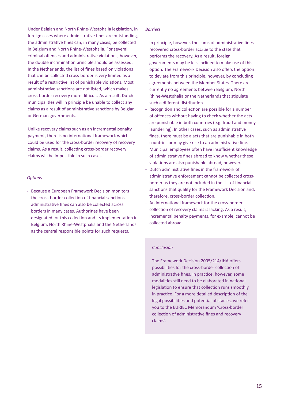Under Belgian and North Rhine-Westphalia legislation, in foreign cases where administrative fines are outstanding, the administrative fines can, in many cases, be collected in Belgium and North Rhine-Westphalia. For several criminal offences and administrative violations, however, the double incrimination principle should be assessed. In the Netherlands, the list of fines based on violations that can be collected cross-border is very limited as a result of a restrictive list of punishable violations. Most administrative sanctions are not listed, which makes cross-border recovery more difficult. As a result, Dutch municipalities will in principle be unable to collect any claims as a result of administrative sanctions by Belgian or German governments.

Unlike recovery claims such as an incremental penalty payment, there is no international framework which could be used for the cross-border recovery of recovery claims. As a result, collecting cross-border recovery claims will be impossible in such cases.

#### *Options*

- Because a European Framework Decision monitors the cross-border collection of financial sanctions, administrative fines can also be collected across borders in many cases. Authorities have been designated for this collection and its implementation in Belgium, North Rhine-Westphalia and the Netherlands as the central responsible points for such requests.

#### *Barriers*

- In principle, however, the sums of administrative fines recovered cross-border accrue to the state that performs the recovery. As a result, foreign governments may be less inclined to make use of this option. The Framework Decision also offers the option to deviate from this principle, however, by concluding agreements between the Member States. There are currently no agreements between Belgium, North Rhine-Westphalia or the Netherlands that stipulate such a different distribution.
- Recognition and collection are possible for a number of offences without having to check whether the acts are punishable in both countries (e.g. fraud and money laundering). In other cases, such as administrative fines, there must be a acts that are punishable in both countries or may give rise to an administrative fine. Municipal employees often have insufficient knowledge of administrative fines abroad to know whether these violations are also punishable abroad, however.
- Dutch administrative fines in the framework of administrative enforcement cannot be collected crossborder as they are not included in the list of financial sanctions that qualify for the Framework Decision and, therefore, cross-border collection..
- An international framework for the cross-border collection of recovery claims is lacking. As a result, incremental penalty payments, for example, cannot be collected abroad.

#### *Conclusion*

The Framework Decision 2005/214/JHA offers possibilities for the cross-border collection of administrative fines. In practice, however, some modalities still need to be elaborated in national legislation to ensure that collection runs smoothly in practice. For a more detailed description of the legal possibilities and potential obstacles, we refer you to the EURIEC Memorandum 'Cross-border collection of administrative fines and recovery claims'.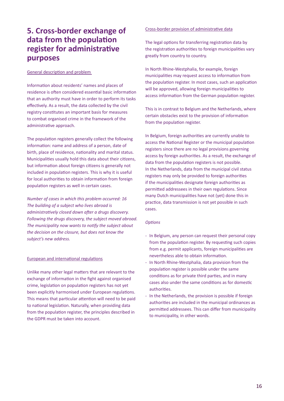## **5. Cross-border exchange of data from the population register for administrative purposes**

#### General description and problem

Information about residents' names and places of residence is often considered essential basic information that an authority must have in order to perform its tasks effectively. As a result, the data collected by the civil registry constitutes an important basis for measures to combat organised crime in the framework of the administrative approach.

The population registers generally collect the following information: name and address of a person, date of birth, place of residence, nationality and marital status. Municipalities usually hold this data about their citizens, but information about foreign citizens is generally not included in population registers. This is why it is useful for local authorities to obtain information from foreign population registers as well in certain cases.

*Number of cases in which this problem occurred: 16 The building of a subject who lives abroad is administratively closed down after a drugs discovery. Following the drugs discovery, the subject moved abroad. The municipality now wants to notify the subject about the decision on the closure, but does not know the subject's new address.* 

#### European and international regulations

Unlike many other legal matters that are relevant to the exchange of information in the fight against organised crime, legislation on population registers has not yet been explicitly harmonised under European regulations. This means that particular attention will need to be paid to national legislation. Naturally, when providing data from the population register, the principles described in the GDPR must be taken into account.

#### Cross-border provision of administrative data

The legal options for transferring registration data by the registration authorities to foreign municipalities vary greatly from country to country.

In North Rhine-Westphalia, for example, foreign municipalities may request access to information from the population register. In most cases, such an application will be approved, allowing foreign municipalities to access information from the German population register.

This is in contrast to Belgium and the Netherlands, where certain obstacles exist to the provision of information from the population register.

In Belgium, foreign authorities are currently unable to access the National Register or the municipal population registers since there are no legal provisions governing access by foreign authorities. As a result, the exchange of data from the population registers is not possible. In the Netherlands, data from the municipal civil status registers may only be provided to foreign authorities if the municipalities designate foreign authorities as permitted addressees in their own regulations. Since many Dutch municipalities have not (yet) done this in practice, data transmission is not yet possible in such cases.

#### *Options*

- In Belgium, any person can request their personal copy from the population register. By requesting such copies from e.g. permit applicants, foreign municipalities are nevertheless able to obtain information.
- In North Rhine-Westphalia, data provision from the population register is possible under the same conditions as for private third parties, and in many cases also under the same conditions as for domestic authorities.
- In the Netherlands, the provision is possible if foreign authorities are included in the municipal ordinances as permitted addressees. This can differ from municipality to municipality, in other words.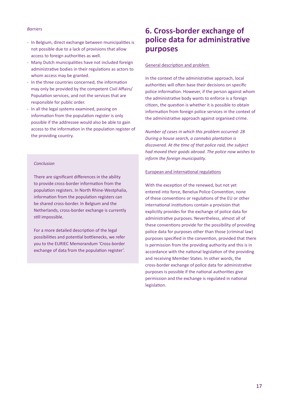#### *Barriers*

- In Belgium, direct exchange between municipalities is not possible due to a lack of provisions that allow access to foreign authorities as well.
- Many Dutch municipalities have not included foreign administrative bodies in their regulations as actors to whom access may be granted.
- In the three countries concerned, the information may only be provided by the competent Civil Affairs/ Population services, and not the services that are responsible for public order.
- In all the legal systems examined, passing on information from the population register is only possible if the addressee would also be able to gain access to the information in the population register of the providing country.

#### *Conclusion*

There are significant differences in the ability to provide cross-border information from the population registers. In North Rhine-Westphalia, information from the population registers can be shared cross-border. In Belgium and the Netherlands, cross-border exchange is currently still impossible.

For a more detailed description of the legal possibilities and potential bottlenecks, we refer you to the EURIEC Memorandum 'Cross-border exchange of data from the population register'.

## **6. Cross-border exchange of police data for administrative purposes**

#### General description and problem

In the context of the administrative approach, local authorities will often base their decisions on specific police information. However, if the person against whom the administrative body wants to enforce is a foreign citizen, the question is whether it is possible to obtain information from foreign police services in the context of the administrative approach against organised crime.

*Number of cases in which this problem occurred: 28 During a house search, a cannabis plantation is discovered. At the time of that police raid, the subject had moved their goods abroad. The police now wishes to inform the foreign municipality.* 

#### European and international regulations

With the exception of the renewed, but not yet entered into force, Benelux Police Convention, none of these conventions or regulations of the EU or other international institutions contain a provision that explicitly provides for the exchange of police data for administrative purposes. Nevertheless, almost all of these conventions provide for the possibility of providing police data for purposes other than those (criminal law) purposes specified in the convention, provided that there is permission from the providing authority and this is in accordance with the national legislation of the providing and receiving Member States. In other words, the cross-border exchange of police data for administrative purposes is possible if the national authorities give permission and the exchange is regulated in national legislation.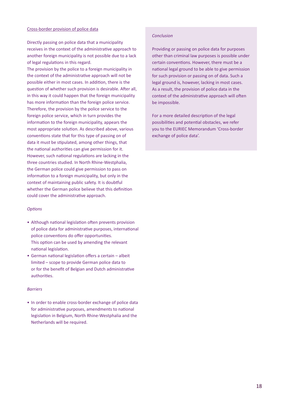#### Cross-border provision of police data

Directly passing on police data that a municipality receives in the context of the administrative approach to another foreign municipality is not possible due to a lack of legal regulations in this regard.

The provision by the police to a foreign municipality in the context of the administrative approach will not be possible either in most cases. In addition, there is the question of whether such provision is desirable. After all, in this way it could happen that the foreign municipality has more information than the foreign police service. Therefore, the provision by the police service to the foreign police service, which in turn provides the information to the foreign municipality, appears the most appropriate solution. As described above, various conventions state that for this type of passing on of data it must be stipulated, among other things, that the national authorities can give permission for it. However, such national regulations are lacking in the three countries studied. In North Rhine-Westphalia, the German police could give permission to pass on information to a foreign municipality, but only in the context of maintaining public safety. It is doubtful whether the German police believe that this definition could cover the administrative approach.

#### *Options*

- Although national legislation often prevents provision of police data for administrative purposes, international police conventions do offer opportunities. This option can be used by amending the relevant national legislation.
- German national legislation offers a certain albeit limited – scope to provide German police data to or for the benefit of Belgian and Dutch administrative authorities.

#### *Barriers*

• In order to enable cross-border exchange of police data for administrative purposes, amendments to national legislation in Belgium, North Rhine-Westphalia and the Netherlands will be required.

#### *Conclusion*

Providing or passing on police data for purposes other than criminal law purposes is possible under certain conventions. However, there must be a national legal ground to be able to give permission for such provision or passing on of data. Such a legal ground is, however, lacking in most cases. As a result, the provision of police data in the context of the administrative approach will often be impossible.

For a more detailed description of the legal possibilities and potential obstacles, we refer you to the EURIEC Memorandum 'Cross-border exchange of police data'.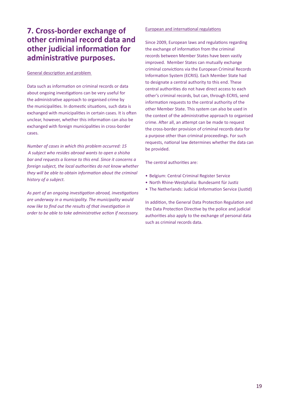## **7. Cross-border exchange of other criminal record data and other judicial information for administrative purposes.**

#### General description and problem

Data such as information on criminal records or data about ongoing investigations can be very useful for the administrative approach to organised crime by the municipalities. In domestic situations, such data is exchanged with municipalities in certain cases. It is often unclear, however, whether this information can also be exchanged with foreign municipalities in cross-border cases.

*Number of cases in which this problem occurred: 15 A subject who resides abroad wants to open a shisha bar and requests a license to this end. Since it concerns a foreign subject, the local authorities do not know whether they will be able to obtain information about the criminal history of a subject.* 

*As part of an ongoing investigation abroad, investigations are underway in a municipality. The municipality would now like to find out the results of that investigation in order to be able to take administrative action if necessary.*

#### European and international regulations

Since 2009, European laws and regulations regarding the exchange of information from the criminal records between Member States have been vastly improved. Member States can mutually exchange criminal convictions via the European Criminal Records Information System (ECRIS). Each Member State had to designate a central authority to this end. These central authorities do not have direct access to each other's criminal records, but can, through ECRIS, send information requests to the central authority of the other Member State. This system can also be used in the context of the administrative approach to organised crime. After all, an attempt can be made to request the cross-border provision of criminal records data for a purpose other than criminal proceedings. For such requests, national law determines whether the data can be provided.

The central authorities are:

- Belgium: Central Criminal Register Service
- North Rhine-Westphalia: Bundesamt für Justiz
- The Netherlands: Judicial Information Service (Justid)

In addition, the General Data Protection Regulation and the Data Protection Directive by the police and judicial authorities also apply to the exchange of personal data such as criminal records data.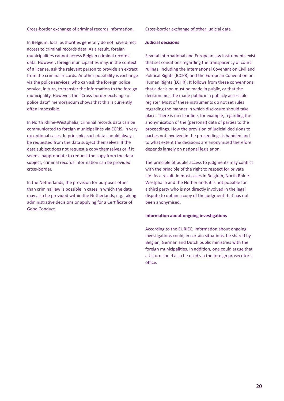#### Cross-border exchange of criminal records information

In Belgium, local authorities generally do not have direct access to criminal records data. As a result, foreign municipalities cannot access Belgian criminal records data. However, foreign municipalities may, in the context of a license, ask the relevant person to provide an extract from the criminal records. Another possibility is exchange via the police services, who can ask the foreign police service, in turn, to transfer the information to the foreign municipality. However, the "Cross-border exchange of police data" memorandum shows that this is currently often impossible.

In North Rhine-Westphalia, criminal records data can be communicated to foreign municipalities via ECRIS, in very exceptional cases. In principle, such data should always be requested from the data subject themselves. If the data subject does not request a copy themselves or if it seems inappropriate to request the copy from the data subject, criminal records information can be provided cross-border.

In the Netherlands, the provision for purposes other than criminal law is possible in cases in which the data may also be provided within the Netherlands, e.g. taking administrative decisions or applying for a Certificate of Good Conduct.

#### Cross-border exchange of other judicial data

#### **Judicial decisions**

Several international and European law instruments exist that set conditions regarding the transparency of court rulings, including the International Covenant on Civil and Political Rights (ICCPR) and the European Convention on Human Rights (ECHR). It follows from these conventions that a decision must be made in public, or that the decision must be made public in a publicly accessible register. Most of these instruments do not set rules regarding the manner in which disclosure should take place. There is no clear line, for example, regarding the anonymisation of the (personal) data of parties to the proceedings. How the provision of judicial decisions to parties not involved in the proceedings is handled and to what extent the decisions are anonymised therefore depends largely on national legislation.

The principle of public access to judgments may conflict with the principle of the right to respect for private life. As a result, in most cases in Belgium, North Rhine-Westphalia and the Netherlands it is not possible for a third party who is not directly involved in the legal dispute to obtain a copy of the judgment that has not been anonymised.

#### **Information about ongoing investigations**

According to the EURIEC, information about ongoing investigations could, in certain situations, be shared by Belgian, German and Dutch public ministries with the foreign municipalities. In addition, one could argue that a U-turn could also be used via the foreign prosecutor's office.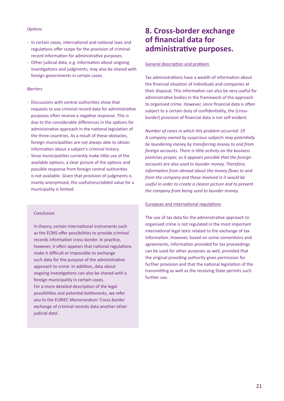#### *Options*

- In certain cases, international and national laws and regulations offer scope for the provision of criminal record information for administrative purposes.
- Other judicial data, e.g. information about ongoing investigations and judgments, may also be shared with foreign governments in certain cases.

#### *Barriers*

- Discussions with central authorities show that requests to use criminal record data for administrative purposes often receive a negative response. This is due to the considerable differences in the options for administrative approach in the national legislation of the three countries. As a result of these obstacles, foreign municipalities are not always able to obtain information about a subject's criminal history.
- Since municipalities currently make little use of the available options, a clear picture of the options and possible response from foreign central authorities is not available. Given that provision of judgments is mainly anonymised, the usefulness/added value for a municipality is limited.

#### *Conclusion*

In theory, certain international instruments such as the ECRIS offer possibilities to provide criminal records information cross-border. In practice, however, it often appears that national regulations make it difficult or impossible to exchange such data for the purpose of the administrative approach to crime. In addition, data about ongoing investigations can also be shared with a foreign municipality in certain cases. For a more detailed description of the legal possibilities and potential bottlenecks, we refer you to the EURIEC Memorandum 'Cross-border exchange of criminal records data another other judicial data'.

### **8. Cross-border exchange of financial data for administrative purposes.**

General description and problem

Tax administrations have a wealth of information about the financial situation of individuals and companies at their disposal. This information can also be very useful for administrative bodies in the framework of the approach to organised crime. However, since financial data is often subject to a certain duty of confidentiality, the (crossborder) provision of financial data is not self-evident.

*Number of cases in which this problem occurred: 19 A company owned by suspicious subjects may potentially be laundering money by transferring money to and from foreign accounts. There is little activity on the business premises proper, so it appears possible that the foreign accounts are also used to launder money. Therefore, information from abroad about the money flows to and from the company and those involved in it would be useful in order to create a clearer picture and to prevent the company from being used to launder money.* 

#### European and international regulations

The use of tax data for the administrative approach to organised crime is not regulated in the most important international legal texts related to the exchange of tax information. However, based on some conventions and agreements, information provided for tax proceedings can be used for other purposes as well, provided that the original providing authority gives permission for further provision and that the national legislation of the transmitting as well as the receiving State permits such further use.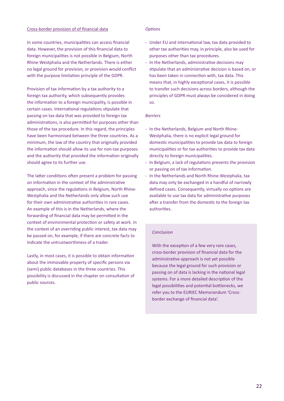#### Cross-border provision of of financial data

In some countries, municipalities can access financial data. However, the provision of this financial data to foreign municipalities is not possible in Belgium, North Rhine-Westphalia and the Netherlands. There is either no legal ground for provision, or provision would conflict with the purpose limitation principle of the GDPR.

Provision of tax information by a tax authority to a foreign tax authority, which subsequently provides the information to a foreign municipality, is possible in certain cases. International regulations stipulate that passing on tax data that was provided to foreign tax administrations, is also permitted for purposes other than those of the tax procedure. In this regard, the principles have been harmonised between the three countries. As a minimum, the law of the country that originally provided the information should allow its use for non-tax purposes and the authority that provided the information originally should agree to its further use.

The latter conditions often present a problem for passing on information in the context of the administrative approach, since the regulations in Belgium, North Rhine-Westphalia and the Netherlands only allow such use for their own administrative authorities in rare cases. An example of this is in the Netherlands, where the forwarding of financial data may be permitted in the context of environmental protection or safety at work. In the context of an overriding public interest, tax data may be passed on, for example, if there are concrete facts to indicate the untrustworthiness of a trader.

Lastly, in most cases, it is possible to obtain information about the immovable property of specific persons via (semi) public databases in the three countries. This possibility is discussed in the chapter on consultation of public sources.

#### *Options*

- Under EU and international law, tax data provided to other tax authorities may, in principle, also be used for purposes other than tax procedures.
- In the Netherlands, administrative decisions may stipulate that an administrative decision is based on, or has been taken in connection with, tax data. This means that, in highly exceptional cases, it is possible to transfer such decisions across borders, although the principles of GDPR must always be considered in doing so.

#### *Barriers*

- In the Netherlands, Belgium and North Rhine-Westphalia, there is no explicit legal ground for domestic municipalities to provide tax data to foreign municipalities or for tax authorities to provide tax data directly to foreign municipalities.
- In Belgium, a lack of regulations prevents the provision or passing on of tax information.
- In the Netherlands and North Rhine-Westphalia, tax data may only be exchanged in a handful of narrowly defined cases. Consequently, virtually no options are available to use tax data for administrative purposes after a transfer from the domestic to the foreign tax authorities.

#### *Conclusion*

With the exception of a few very rare cases, cross-border provision of financial data for the administrative approach is not yet possible because the legal ground for such provision or passing on of data is lacking in the national legal systems. For a more detailed description of the legal possibilities and potential bottlenecks, we refer you to the EURIEC Memorandum 'Crossborder exchange of financial data'.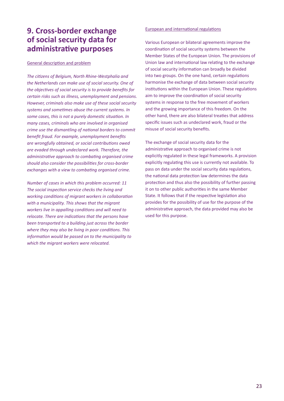## **9. Cross-border exchange of social security data for administrative purposes**

#### General description and problem

*The citizens of Belgium, North Rhine-Westphalia and the Netherlands can make use of social security. One of the objectives of social security is to provide benefits for certain risks such as illness, unemployment and pensions. However, criminals also make use of these social security systems and sometimes abuse the current systems. In some cases, this is not a purely domestic situation. In many cases, criminals who are involved in organised crime use the dismantling of national borders to commit benefit fraud. For example, unemployment benefits are wrongfully obtained, or social contributions owed are evaded through undeclared work. Therefore, the administrative approach to combating organised crime should also consider the possibilities for cross-border exchanges with a view to combating organised crime.*

*Number of cases in which this problem occurred: 11 The social inspection service checks the living and working conditions of migrant workers in collaboration with a municipality. This shows that the migrant workers live in appalling conditions and will need to relocate. There are indications that the persons have been transported to a building just across the border where they may also be living in poor conditions. This information would be passed on to the municipality to which the migrant workers were relocated.* 

#### European and international regulations

Various European or bilateral agreements improve the coordination of social security systems between the Member States of the European Union. The provisions of Union law and international law relating to the exchange of social security information can broadly be divided into two groups. On the one hand, certain regulations harmonise the exchange of data between social security institutions within the European Union. These regulations aim to improve the coordination of social security systems in response to the free movement of workers and the growing importance of this freedom. On the other hand, there are also bilateral treaties that address specific issues such as undeclared work, fraud or the misuse of social security benefits.

The exchange of social security data for the administrative approach to organised crime is not explicitly regulated in these legal frameworks. A provision explicitly regulating this use is currently not available. To pass on data under the social security data regulations, the national data protection law determines the data protection and thus also the possibility of further passing it on to other public authorities in the same Member State. It follows that if the respective legislation also provides for the possibility of use for the purpose of the administrative approach, the data provided may also be used for this purpose.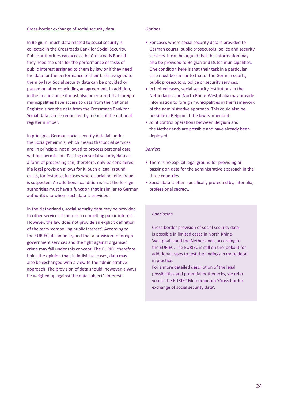#### Cross-border exchange of social security data

In Belgium, much data related to social security is collected in the Crossroads Bank for Social Security. Public authorities can access the Crossroads Bank if they need the data for the performance of tasks of public interest assigned to them by law or if they need the data for the performance of their tasks assigned to them by law. Social security data can be provided or passed on after concluding an agreement. In addition, in the first instance it must also be ensured that foreign municipalities have access to data from the National Register, since the data from the Crossroads Bank for Social Data can be requested by means of the national register number.

In principle, German social security data fall under the Sozialgeheimnis, which means that social services are, in principle, not allowed to process personal data without permission. Passing on social security data as a form of processing can, therefore, only be considered if a legal provision allows for it. Such a legal ground exists, for instance, in cases where social benefits fraud is suspected. An additional condition is that the foreign authorities must have a function that is similar to German authorities to whom such data is provided.

In the Netherlands, social security data may be provided to other services if there is a compelling public interest. However, the law does not provide an explicit definition of the term 'compelling public interest'. According to the EURIEC, it can be argued that a provision to foreign government services and the fight against organised crime may fall under this concept. The EURIEC therefore holds the opinion that, in individual cases, data may also be exchanged with a view to the administrative approach. The provision of data should, however, always be weighed up against the data subject's interests.

#### *Options*

- For cases where social security data is provided to German courts, public prosecutors, police and security services, it can be argued that this information may also be provided to Belgian and Dutch municipalities. One condition here is that their task in a particular case must be similar to that of the German courts, public prosecutors, police or security services.
- In limited cases, social security institutions in the Netherlands and North Rhine-Westphalia may provide information to foreign municipalities in the framework of the administrative approach. This could also be possible in Belgium if the law is amended.
- Joint control operations between Belgium and the Netherlands are possible and have already been deployed.

#### *Barriers*

- There is no explicit legal ground for providing or passing on data for the administrative approach in the three countries.
- Social data is often specifically protected by, inter alia, professional secrecy.

#### *Conclusion*

Cross-border provision of social security data is possible in limited cases in North Rhine-Westphalia and the Netherlands, according to the EURIEC. The EURIEC is still on the lookout for additional cases to test the findings in more detail in practice.

For a more detailed description of the legal possibilities and potential bottlenecks, we refer you to the EURIEC Memorandum 'Cross-border exchange of social security data'.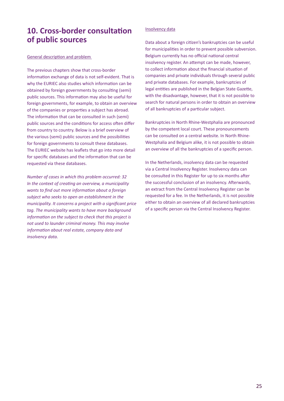## **10. Cross-border consultation of public sources**

#### General description and problem

The previous chapters show that cross-border information exchange of data is not self-evident. That is why the EURIEC also studies which information can be obtained by foreign governments by consulting (semi) public sources. This information may also be useful for foreign governments, for example, to obtain an overview of the companies or properties a subject has abroad. The information that can be consulted in such (semi) public sources and the conditions for access often differ from country to country. Below is a brief overview of the various (semi) public sources and the possibilities for foreign governments to consult these databases. The EURIEC website has leaflets that go into more detail for specific databases and the information that can be requested via these databases.

*Number of cases in which this problem occurred: 32 In the context of creating an overview, a municipality wants to find out more information about a foreign subject who seeks to open an establishment in the municipality. It concerns a project with a significant price tag. The municipality wants to have more background information on the subject to check that this project is not used to launder criminal money. This may involve information about real estate, company data and insolvency data.*

#### Insolvency data

Data about a foreign citizen's bankruptcies can be useful for municipalities in order to prevent possible subversion. Belgium currently has no official national central insolvency register. An attempt can be made, however, to collect information about the financial situation of companies and private individuals through several public and private databases. For example, bankruptcies of legal entities are published in the Belgian State Gazette, with the disadvantage, however, that it is not possible to search for natural persons in order to obtain an overview of all bankruptcies of a particular subject.

Bankruptcies in North Rhine-Westphalia are pronounced by the competent local court. These pronouncements can be consulted on a central website. In North Rhine-Westphalia and Belgium alike, it is not possible to obtain an overview of all the bankruptcies of a specific person.

In the Netherlands, insolvency data can be requested via a Central Insolvency Register. Insolvency data can be consulted in this Register for up to six months after the successful conclusion of an insolvency. Afterwards, an extract from the Central Insolvency Register can be requested for a fee. In the Netherlands, it is not possible either to obtain an overview of all declared bankruptcies of a specific person via the Central Insolvency Register.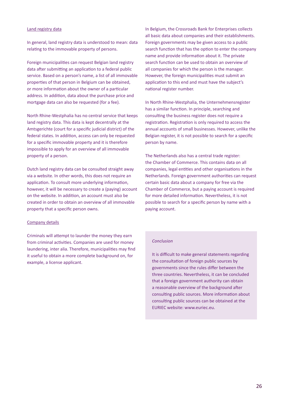#### Land registry data

In general, land registry data is understood to mean: data relating to the immovable property of persons.

Foreign municipalities can request Belgian land registry data after submitting an application to a federal public service. Based on a person's name, a list of all immovable properties of that person in Belgium can be obtained, or more information about the owner of a particular address. In addition, data about the purchase price and mortgage data can also be requested (for a fee).

North Rhine-Westphalia has no central service that keeps land registry data. This data is kept decentrally at the Amtsgerichte (court for a specific judicial district) of the federal states. In addition, access can only be requested for a specific immovable property and it is therefore impossible to apply for an overview of all immovable property of a person.

Dutch land registry data can be consulted straight away via a website. In other words, this does not require an application. To consult more underlying information, however, it will be necessary to create a (paying) account on the website. In addition, an account must also be created in order to obtain an overview of all immovable property that a specific person owns.

#### Company details

Criminals will attempt to launder the money they earn from criminal activities. Companies are used for money laundering, inter alia. Therefore, municipalities may find it useful to obtain a more complete background on, for example, a license applicant.

In Belgium, the Crossroads Bank for Enterprises collects all basic data about companies and their establishments. Foreign governments may be given access to a public search function that has the option to enter the company name and provide information about it. The private search function can be used to obtain an overview of all companies for which the person is the manager. However, the foreign municipalities must submit an application to this end and must have the subject's national register number.

In North Rhine-Westphalia, the Unternehmensregister has a similar function. In principle, searching and consulting the business register does not require a registration. Registration is only required to access the annual accounts of small businesses. However, unlike the Belgian register, it is not possible to search for a specific person by name.

The Netherlands also has a central trade register: the Chamber of Commerce. This contains data on all companies, legal entities and other organisations in the Netherlands. Foreign government authorities can request certain basic data about a company for free via the Chamber of Commerce, but a paying account is required for more detailed information. Nevertheless, it is not possible to search for a specific person by name with a paying account.

#### *Conclusion*

It is difficult to make general statements regarding the consultation of foreign public sources by governments since the rules differ between the three countries. Nevertheless, it can be concluded that a foreign government authority can obtain a reasonable overview of the background after consulting public sources. More information about consulting public sources can be obtained at the EURIEC website: www.euriec.eu.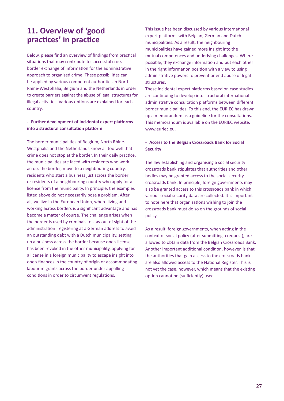## **11. Overview of 'good practices' in practice**

Below, please find an overview of findings from practical situations that may contribute to successful crossborder exchange of information for the administrative approach to organised crime. These possibilities can be applied by various competent authorities in North Rhine-Westphalia, Belgium and the Netherlands in order to create barriers against the abuse of legal structures for illegal activities. Various options are explained for each country.

#### **- Further development of Incidental expert platforms into a structural consultation platform**

The border municipalities of Belgium, North Rhine-Westphalia and the Netherlands know all too well that crime does not stop at the border. In their daily practice, the municipalities are faced with residents who work across the border, move to a neighbouring country, residents who start a business just across the border or residents of a neighbouring country who apply for a license from the municipality. In principle, the examples listed above do not necessarily pose a problem. After all, we live in the European Union, where living and working across borders is a significant advantage and has become a matter of course. The challenge arises when the border is used by criminals to stay out of sight of the administration: registering at a German address to avoid an outstanding debt with a Dutch municipality, setting up a business across the border because one's license has been revoked in the other municipality, applying for a license in a foreign municipality to escape insight into one's finances in the country of origin or accommodating labour migrants across the border under appalling conditions in order to circumvent regulations.

This issue has been discussed by various international expert platforms with Belgian, German and Dutch municipalities. As a result, the neighbouring municipalities have gained more insight into the mutual competences and underlying challenges. Where possible, they exchange information and put each other in the right information position with a view to using administrative powers to prevent or end abuse of legal structures.

These incidental expert platforms based on case studies are continuing to develop into structural international administrative consultation platforms between different border municipalities. To this end, the EURIEC has drawn up a memorandum as a guideline for the consultations. This memorandum is available on the EURIEC website: www.euriec.eu.

#### **- Access to the Belgian Crossroads Bank for Social Security**

The law establishing and organising a social security crossroads bank stipulates that authorities and other bodies may be granted access to the social security crossroads bank. In principle, foreign governments may also be granted access to this crossroads bank in which various social security data are collected. It is important to note here that organisations wishing to join the crossroads bank must do so on the grounds of social policy.

As a result, foreign governments, when acting in the context of social policy (after submitting a request), are allowed to obtain data from the Belgian Crossroads Bank. Another important additional condition, however, is that the authorities that gain access to the crossroads bank are also allowed access to the National Register. This is not yet the case, however, which means that the existing option cannot be (sufficiently) used.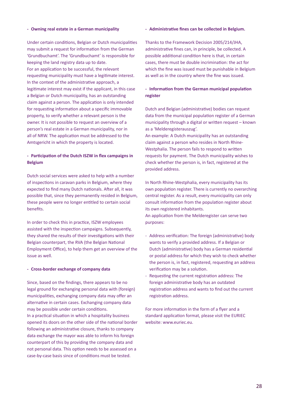#### **- Owning real estate in a German municipality**

Under certain conditions, Belgian or Dutch municipalities may submit a request for information from the German 'Grundbuchamt'. The 'Grundbuchamt' is responsible for keeping the land registry data up to date. For an application to be successful, the relevant requesting municipality must have a legitimate interest. In the context of the administrative approach, a legitimate interest may exist if the applicant, in this case a Belgian or Dutch municipality, has an outstanding claim against a person. The application is only intended for requesting information about a specific immovable property, to verify whether a relevant person is the owner. It is not possible to request an overview of a person's real estate in a German municipality, nor in all of NRW. The application must be addressed to the Amtsgericht in which the property is located.

#### **- Participation of the Dutch ISZW in flex campaigns in Belgium**

Dutch social services were asked to help with a number of inspections in caravan parks in Belgium, where they expected to find many Dutch nationals. After all, it was possible that, since they permanently resided in Belgium, these people were no longer entitled to certain social benefits.

In order to check this in practice, ISZW employees assisted with the inspection campaigns. Subsequently, they shared the results of their investigations with their Belgian counterpart, the RVA (the Belgian National Employment Office), to help them get an overview of the issue as well.

#### **- Cross-border exchange of company data**

Since, based on the findings, there appears to be no legal ground for exchanging personal data with (foreign) municipalities, exchanging company data may offer an alternative in certain cases. Exchanging company data may be possible under certain conditions. In a practical situation in which a hospitality business opened its doors on the other side of the national border following an administrative closure, thanks to company data exchange the mayor was able to inform his foreign counterpart of this by providing the company data and not personal data. This option needs to be assessed on a case-by-case basis since of conditions must be tested.

#### **- Administrative fines can be collected in Belgium.**

Thanks to the Framework Decision 2005/214/JHA, administrative fines can, in principle, be collected. A possible additional condition here is that, in certain cases, there must be double incrimination: the act for which the fine was issued must be punishable in Belgium as well as in the country where the fine was issued.

#### **- Information from the German municipal population register**

Dutch and Belgian (administrative) bodies can request data from the municipal population register of a German municipality through a digital or written request – known as a 'Melderegisterauszug'.

An example: A Dutch municipality has an outstanding claim against a person who resides in North Rhine-Westphalia. The person fails to respond to written requests for payment. The Dutch municipality wishes to check whether the person is, in fact, registered at the provided address.

In North Rhine-Westphalia, every municipality has its own population register. There is currently no overarching central register. As a result, every municipality can only consult information from the population register about its own registered inhabitants.

An application from the Melderegister can serve two purposes:

- Address verification: The foreign (administrative) body wants to verify a provided address. If a Belgian or Dutch (administrative) body has a German residential or postal address for which they wish to check whether the person is, in fact, registered, requesting an address verification may be a solution.
- Requesting the current registration address: The foreign administrative body has an outdated registration address and wants to find out the current registration address.

For more information in the form of a flyer and a standard application format, please visit the EURIEC website: www.euriec.eu.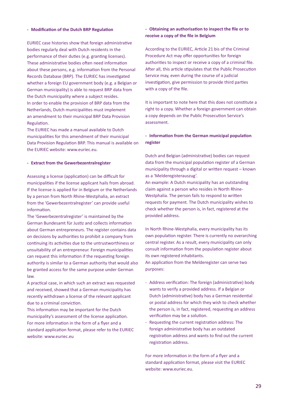#### **- Modification of the Dutch BRP Regulation**

EURIEC case histories show that foreign administrative bodies regularly deal with Dutch residents in the performance of their duties (e.g. granting licenses). These administrative bodies often need information about these persons, e.g. information from the Personal Records Database (BRP). The EURIEC has investigated whether a foreign EU government body (e.g. a Belgian or German municipality) is able to request BRP data from the Dutch municipality where a subject resides. In order to enable the provision of BRP data from the Netherlands, Dutch municipalities must implement an amendment to their municipal BRP Data Provision Regulation.

The EURIEC has made a manual available to Dutch municipalities for this amendment of their municipal Data Provision Regulation BRP. This manual is available on the EURIEC website: www.euriec.eu.

#### **- Extract from the Gewerbezentralregister**

Assessing a license (application) can be difficult for municipalities if the license applicant hails from abroad. If the license is applied for in Belgium or the Netherlands by a person from North Rhine-Westphalia, an extract from the 'Gewerbezentralregister' can provide useful information.

The 'Gewerbezentralregister' is maintained by the German Bundesamt für Justiz and collects information about German entrepreneurs. The register contains data on decisions by authorities to prohibit a company from continuing its activities due to the untrustworthiness or unsuitability of an entrepreneur. Foreign municipalities can request this information if the requesting foreign authority is similar to a German authority that would also be granted access for the same purpose under German law.

A practical case, in which such an extract was requested and received, showed that a German municipality has recently withdrawn a license of the relevant applicant due to a criminal conviction.

This information may be important for the Dutch municipality's assessment of the license application. For more information in the form of a flyer and a standard application format, please refer to the EURIEC website: www.euriec.eu

#### **- Obtaining an authorisation to inspect the file or to receive a copy of the file in Belgium**

According to the EURIEC, Article 21 bis of the Criminal Procedure Act may offer opportunities for foreign authorities to inspect or receive a copy of a criminal file. After all, this article stipulates that the Public Prosecution Service may, even during the course of a judicial investigation, give permission to provide third parties with a copy of the file.

It is important to note here that this does not constitute a right to a copy. Whether a foreign government can obtain a copy depends on the Public Prosecution Service's assessment.

#### **- Information from the German municipal population register**

Dutch and Belgian (administrative) bodies can request data from the municipal population register of a German municipality through a digital or written request – known as a 'Melderegisterauszug'.

An example: A Dutch municipality has an outstanding claim against a person who resides in North Rhine-Westphalia. The person fails to respond to written requests for payment. The Dutch municipality wishes to check whether the person is, in fact, registered at the provided address.

In North Rhine-Westphalia, every municipality has its own population register. There is currently no overarching central register. As a result, every municipality can only consult information from the population register about its own registered inhabitants.

An application from the Melderegister can serve two purposes:

- Address verification: The foreign (administrative) body wants to verify a provided address. If a Belgian or Dutch (administrative) body has a German residential or postal address for which they wish to check whether the person is, in fact, registered, requesting an address verification may be a solution.
- Requesting the current registration address: The foreign administrative body has an outdated registration address and wants to find out the current registration address.

For more information in the form of a flyer and a standard application format, please visit the EURIEC website: www.euriec.eu.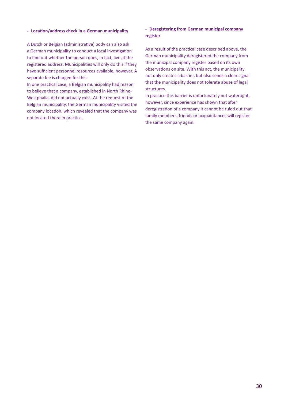#### **- Location/address check in a German municipality**

A Dutch or Belgian (administrative) body can also ask a German municipality to conduct a local investigation to find out whether the person does, in fact, live at the registered address. Municipalities will only do this if they have sufficient personnel resources available, however. A separate fee is charged for this.

In one practical case, a Belgian municipality had reason to believe that a company, established in North Rhine-Westphalia, did not actually exist. At the request of the Belgian municipality, the German municipality visited the company location, which revealed that the company was not located there in practice.

#### **- Deregistering from German municipal company register**

As a result of the practical case described above, the German municipality deregistered the company from the municipal company register based on its own observations on site. With this act, the municipality not only creates a barrier, but also sends a clear signal that the municipality does not tolerate abuse of legal structures.

In practice this barrier is unfortunately not watertight, however, since experience has shown that after deregistration of a company it cannot be ruled out that family members, friends or acquaintances will register the same company again.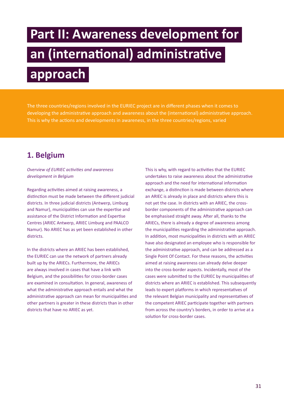# **Part II: Awareness development for an (international) administrative approach**

The three countries/regions involved in the EURIEC project are in different phases when it comes to developing the administrative approach and awareness about the (international) administrative approach. This is why the actions and developments in awareness, in the three countries/regions, varied

### **1. Belgium**

*Overview of EURIEC activities and awareness development in Belgium*

Regarding activities aimed at raising awareness, a distinction must be made between the different judicial districts. In three judicial districts (Antwerp, Limburg and Namur), municipalities can use the expertise and assistance of the District Information and Expertise Centres (ARIEC Antwerp, ARIEC Limburg and PAALCO Namur). No ARIEC has as yet been established in other districts.

In the districts where an ARIEC has been established, the EURIEC can use the network of partners already built up by the ARIECs. Furthermore, the ARIECs are always involved in cases that have a link with Belgium, and the possibilities for cross-border cases are examined in consultation. In general, awareness of what the administrative approach entails and what the administrative approach can mean for municipalities and other partners is greater in these districts than in other districts that have no ARIEC as yet.

This is why, with regard to activities that the EURIEC undertakes to raise awareness about the administrative approach and the need for international information exchange, a distinction is made between districts where an ARIEC is already in place and districts where this is not yet the case. In districts with an ARIEC, the crossborder components of the administrative approach can be emphasised straight away. After all, thanks to the ARIECs, there is already a degree of awareness among the municipalities regarding the administrative approach. In addition, most municipalities in districts with an ARIEC have also designated an employee who is responsible for the administrative approach, and can be addressed as a Single Point Of Contact. For these reasons, the activities aimed at raising awareness can already delve deeper into the cross-border aspects. Incidentally, most of the cases were submitted to the EURIEC by municipalities of districts where an ARIEC is established. This subsequently leads to expert platforms in which representatives of the relevant Belgian municipality and representatives of the competent ARIEC participate together with partners from across the country's borders, in order to arrive at a solution for cross-border cases.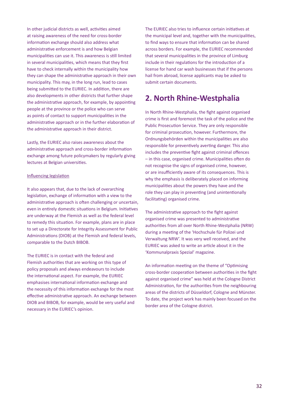In other judicial districts as well, activities aimed at raising awareness of the need for cross-border information exchange should also address what administrative enforcement is and how Belgian municipalities can use it. This awareness is still limited in several municipalities, which means that they first have to check internally within the municipality how they can shape the administrative approach in their own municipality. This may, in the long run, lead to cases being submitted to the EURIEC. In addition, there are also developments in other districts that further shape the administrative approach, for example, by appointing people at the province or the police who can serve as points of contact to support municipalities in the administrative approach or in the further elaboration of the administrative approach in their district.

Lastly, the EURIEC also raises awareness about the administrative approach and cross-border information exchange among future policymakers by regularly giving lectures at Belgian universities.

#### Influencing legislation

It also appears that, due to the lack of overarching legislation, exchange of information with a view to the administrative approach is often challenging or uncertain, even in entirely domestic situations in Belgium. Initiatives are underway at the Flemish as well as the federal level to remedy this situation. For example, plans are in place to set up a Directorate for Integrity Assessment for Public Administrations (DIOB) at the Flemish and federal levels, comparable to the Dutch BIBOB.

The EURIEC is in contact with the federal and Flemish authorities that are working on this type of policy proposals and always endeavours to include the international aspect. For example, the EURIEC emphasises international information exchange and the necessity of this information exchange for the most effective administrative approach. An exchange between DIOB and BIBOB, for example, would be very useful and necessary in the EURIEC's opinion.

The EURIEC also tries to influence certain initiatives at the municipal level and, together with the municipalities, to find ways to ensure that information can be shared across borders. For example, the EURIEC recommended that several municipalities in the province of Limburg include in their regulations for the introduction of a license for hand car wash businesses that if the persons hail from abroad, license applicants may be asked to submit certain documents.

### **2. North Rhine-Westphalia**

In North Rhine-Westphalia, the fight against organised crime is first and foremost the task of the police and the Public Prosecution Service. They are only responsible for criminal prosecution, however. Furthermore, the Ordnungsbehörden within the municipalities are also responsible for preventively averting danger. This also includes the preventive fight against criminal offences – in this case, organised crime. Municipalities often do not recognise the signs of organised crime, however, or are insufficiently aware of its consequences. This is why the emphasis is deliberately placed on informing municipalities about the powers they have and the role they can play in preventing (and unintentionally facilitating) organised crime.

The administrative approach to the fight against organised crime was presented to administrative authorities from all over North Rhine-Westphalia (NRW) during a meeting of the 'Hochschule für Polizei und Verwaltung NRW'. It was very well received, and the EURIEC was asked to write an article about it in the 'Kommunalpraxis Spezial' magazine.

An information meeting on the theme of "Optimising cross-border cooperation between authorities in the fight against organised crime" was held at the Cologne District Administration, for the authorities from the neighbouring areas of the districts of Düsseldorf, Cologne and Münster. To date, the project work has mainly been focused on the border area of the Cologne district.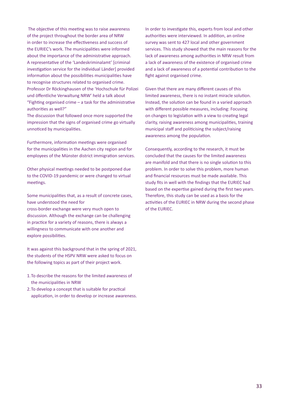The objective of this meeting was to raise awareness of the project throughout the border area of NRW in order to increase the effectiveness and success of the EURIEC's work. The municipalities were informed about the importance of the administrative approach. A representative of the 'Landeskriminalamt' [criminal investigation service for the individual Länder] provided information about the possibilities municipalities have to recognise structures related to organised crime. Professor Dr Röckinghausen of the 'Hochschule für Polizei und öffentliche Verwaltung NRW' held a talk about "Fighting organised crime – a task for the administrative authorities as well?" The discussion that followed once more supported the

impression that the signs of organised crime go virtually unnoticed by municipalities.

Furthermore, information meetings were organised for the municipalities in the Aachen city region and for employees of the Münster district immigration services.

Other physical meetings needed to be postponed due to the COVID-19 pandemic or were changed to virtual meetings.

Some municipalities that, as a result of concrete cases, have understood the need for

cross-border exchange were very much open to discussion. Although the exchange can be challenging in practice for a variety of reasons, there is always a willingness to communicate with one another and explore possibilities.

It was against this background that in the spring of 2021, the students of the HSPV NRW were asked to focus on the following topics as part of their project work.

- 1.To describe the reasons for the limited awareness of the municipalities in NRW
- 2.To develop a concept that is suitable for practical application, in order to develop or increase awareness.

In order to investigate this, experts from local and other authorities were interviewed. In addition, an online survey was sent to 427 local and other government services. This study showed that the main reasons for the lack of awareness among authorities in NRW result from a lack of awareness of the existence of organised crime and a lack of awareness of a potential contribution to the fight against organised crime.

Given that there are many different causes of this limited awareness, there is no instant miracle solution. Instead, the solution can be found in a varied approach with different possible measures, including: Focusing on changes to legislation with a view to creating legal clarity, raising awareness among municipalities, training municipal staff and politicising the subject/raising awareness among the population.

Consequently, according to the research, it must be concluded that the causes for the limited awareness are manifold and that there is no single solution to this problem. In order to solve this problem, more human and financial resources must be made available. This study fits in well with the findings that the EURIEC had based on the expertise gained during the first two years. Therefore, this study can be used as a basis for the activities of the EURIEC in NRW during the second phase of the EURIEC.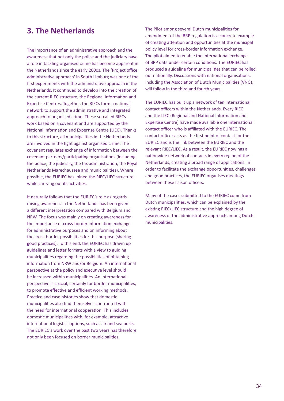The importance of an administrative approach and the awareness that not only the police and the judiciary have a role in tackling organised crime has become apparent in the Netherlands since the early 2000s. The 'Project office administrative approach' in South Limburg was one of the first experiments with the administrative approach in the Netherlands. It continued to develop into the creation of the current RIEC structure, the Regional Information and Expertise Centres. Together, the RIECs form a national network to support the administrative and integrated approach to organised crime. These so-called RIECs work based on a covenant and are supported by the National Information and Expertise Centre (LIEC). Thanks to this structure, all municipalities in the Netherlands are involved in the fight against organised crime. The covenant regulates exchange of information between the covenant partners/participating organisations (including the police, the judiciary, the tax administration, the Royal Netherlands Marechaussee and municipalities). Where possible, the EURIEC has joined the RIEC/LIEC structure while carrying out its activities.

It naturally follows that the EURIEC's role as regards raising awareness in the Netherlands has been given a different interpretation compared with Belgium and NRW. The focus was mainly on creating awareness for the importance of cross-border information exchange for administrative purposes and on informing about the cross-border possibilities for this purpose (sharing good practices). To this end, the EURIEC has drawn up guidelines and letter formats with a view to guiding municipalities regarding the possibilities of obtaining information from NRW and/or Belgium. An international perspective at the policy and executive level should be increased within municipalities. An international perspective is crucial, certainly for border municipalities, to promote effective and efficient working methods. Practice and case histories show that domestic municipalities also find themselves confronted with the need for international cooperation. This includes domestic municipalities with, for example, attractive international logistics options, such as air and sea ports. The EURIEC's work over the past two years has therefore not only been focused on border municipalities.

**3. The Netherlands** The Pilot among several Dutch municipalities for amendment of the BRP regulation is a concrete example of creating attention and opportunities at the municipal policy level for cross-border information exchange. The pilot aimed to enable the international exchange of BRP data under certain conditions. The EURIEC has produced a guideline for municipalities that can be rolled out nationally. Discussions with national organisations, including the Association of Dutch Municipalities (VNG), will follow in the third and fourth years.

> The EURIEC has built up a network of ten international contact officers within the Netherlands. Every RIEC and the LIEC (Regional and National Information and Expertise Centre) have made available one international contact officer who is affiliated with the EURIEC. The contact officer acts as the first point of contact for the EURIEC and is the link between the EURIEC and the relevant RIEC/LIEC. As a result, the EURIEC now has a nationwide network of contacts in every region of the Netherlands, creating a broad range of applications. In order to facilitate the exchange opportunities, challenges and good practices, the EURIEC organises meetings between these liaison officers.

Many of the cases submitted to the EURIEC come from Dutch municipalities, which can be explained by the existing RIEC/LIEC structure and the high degree of awareness of the administrative approach among Dutch municipalities.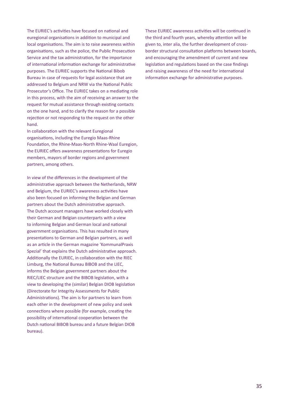The EURIEC's activities have focused on national and euregional organisations in addition to municipal and local organisations. The aim is to raise awareness within organisations, such as the police, the Public Prosecution Service and the tax administration, for the importance of international information exchange for administrative purposes. The EURIEC supports the National Bibob Bureau in case of requests for legal assistance that are addressed to Belgium and NRW via the National Public Prosecutor's Office. The EURIEC takes on a mediating role in this process, with the aim of receiving an answer to the request for mutual assistance through existing contacts on the one hand, and to clarify the reason for a possible rejection or not responding to the request on the other hand.

In collaboration with the relevant Euregional organisations, including the Euregio Maas-Rhine Foundation, the Rhine-Maas-North Rhine-Waal Euregion, the EURIEC offers awareness presentations for Euregio members, mayors of border regions and government partners, among others.

In view of the differences in the development of the administrative approach between the Netherlands, NRW and Belgium, the EURIEC's awareness activities have also been focused on informing the Belgian and German partners about the Dutch administrative approach. The Dutch account managers have worked closely with their German and Belgian counterparts with a view to informing Belgian and German local and national government organisations. This has resulted in many presentations to German and Belgian partners, as well as an article in the German magazine 'KommunalPraxis Spezial' that explains the Dutch administrative approach. Additionally the EURIEC, in collaboration with the RIEC Limburg, the National Bureau BIBOB and the LIEC, informs the Belgian government partners about the RIEC/LIEC structure and the BIBOB legislation, with a view to developing the (similar) Belgian DIOB legislation (Directorate for Integrity Assessments for Public Administrations). The aim is for partners to learn from each other in the development of new policy and seek connections where possible (for example, creating the possibility of international cooperation between the Dutch national BIBOB bureau and a future Belgian DIOB bureau).

These EURIEC awareness activities will be continued in the third and fourth years, whereby attention will be given to, inter alia, the further development of crossborder structural consultation platforms between boards, and encouraging the amendment of current and new legislation and regulations based on the case findings and raising awareness of the need for international information exchange for administrative purposes.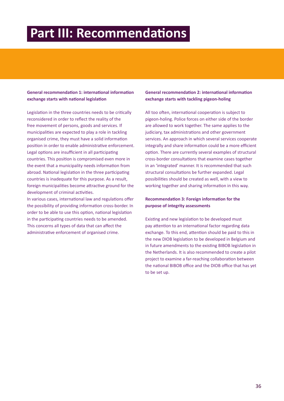## **Part III: Recommendations**

#### **General recommendation 1: international information exchange starts with national legislation**

Legislation in the three countries needs to be critically reconsidered in order to reflect the reality of the free movement of persons, goods and services. If municipalities are expected to play a role in tackling organised crime, they must have a solid information position in order to enable administrative enforcement. Legal options are insufficient in all participating countries. This position is compromised even more in the event that a municipality needs information from abroad. National legislation in the three participating countries is inadequate for this purpose. As a result, foreign municipalities become attractive ground for the development of criminal activities.

In various cases, international law and regulations offer the possibility of providing information cross-border. In order to be able to use this option, national legislation in the participating countries needs to be amended. This concerns all types of data that can affect the administrative enforcement of organised crime.

#### **General recommendation 2: international information exchange starts with tackling pigeon-holing**

All too often, international cooperation is subject to pigeon-holing. Police forces on either side of the border are allowed to work together. The same applies to the judiciary, tax administrations and other government services. An approach in which several services cooperate integrally and share information could be a more efficient option. There are currently several examples of structural cross-border consultations that examine cases together in an 'integrated' manner. It is recommended that such structural consultations be further expanded. Legal possibilities should be created as well, with a view to working together and sharing information in this way.

#### **Recommendation 3: Foreign information for the purpose of integrity assessments**

Existing and new legislation to be developed must pay attention to an international factor regarding data exchange. To this end, attention should be paid to this in the new DIOB legislation to be developed in Belgium and in future amendments to the existing BIBOB legislation in the Netherlands. It is also recommended to create a pilot project to examine a far-reaching collaboration between the national BIBOB office and the DIOB office that has yet to be set up.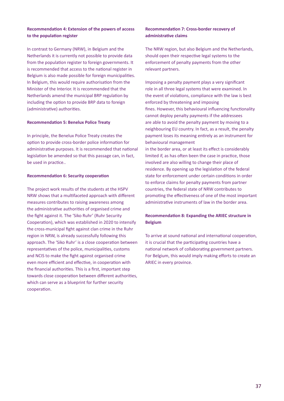#### **Recommendation 4: Extension of the powers of access to the population register**

In contrast to Germany (NRW), in Belgium and the Netherlands it is currently not possible to provide data from the population register to foreign governments. It is recommended that access to the national register in Belgium is also made possible for foreign municipalities. In Belgium, this would require authorisation from the Minister of the Interior. It is recommended that the Netherlands amend the municipal BRP regulation by including the option to provide BRP data to foreign (administrative) authorities.

#### **Recommendation 5: Benelux Police Treaty**

In principle, the Benelux Police Treaty creates the option to provide cross-border police information for administrative purposes. It is recommended that national legislation be amended so that this passage can, in fact, be used in practice..

#### **Recommendation 6: Security cooperation**

The project work results of the students at the HSPV NRW shows that a multifaceted approach with different measures contributes to raising awareness among the administrative authorities of organised crime and the fight against it. The 'Siko Ruhr' (Ruhr Security Cooperation), which was established in 2020 to intensify the cross-municipal fight against clan crime in the Ruhr region in NRW, is already successfully following this approach. The 'Siko Ruhr' is a close cooperation between representatives of the police, municipalities, customs and NCIS to make the fight against organised crime even more efficient and effective, in cooperation with the financial authorities. This is a first, important step towards close cooperation between different authorities, which can serve as a blueprint for further security cooperation.

#### **Recommendation 7: Cross-border recovery of administrative claims**

The NRW region, but also Belgium and the Netherlands, should open their respective legal systems to the enforcement of penalty payments from the other relevant partners.

Imposing a penalty payment plays a very significant role in all three legal systems that were examined. In the event of violations, compliance with the law is best enforced by threatening and imposing fines. However, this behavioural influencing functionality cannot deploy penalty payments if the addressees are able to avoid the penalty payment by moving to a neighbouring EU country. In fact, as a result, the penalty payment loses its meaning entirely as an instrument for behavioural management

in the border area, or at least its effect is considerably limited if, as has often been the case in practice, those involved are also willing to change their place of residence. By opening up the legislation of the federal state for enforcement under certain conditions in order to enforce claims for penalty payments from partner countries, the federal state of NRW contributes to promoting the effectiveness of one of the most important administrative instruments of law in the border area.

#### **Recommendation 8: Expanding the ARIEC structure in Belgium**

To arrive at sound national and international cooperation, it is crucial that the participating countries have a national network of collaborating government partners. For Belgium, this would imply making efforts to create an ARIEC in every province.